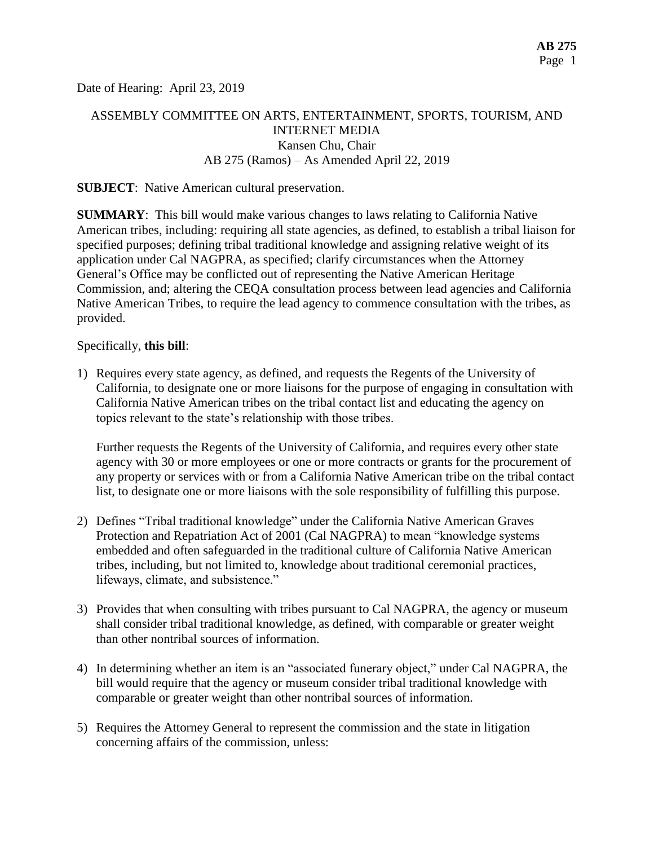Date of Hearing: April 23, 2019

# ASSEMBLY COMMITTEE ON ARTS, ENTERTAINMENT, SPORTS, TOURISM, AND INTERNET MEDIA Kansen Chu, Chair AB 275 (Ramos) – As Amended April 22, 2019

#### **SUBJECT**: Native American cultural preservation.

**SUMMARY**: This bill would make various changes to laws relating to California Native American tribes, including: requiring all state agencies, as defined, to establish a tribal liaison for specified purposes; defining tribal traditional knowledge and assigning relative weight of its application under Cal NAGPRA, as specified; clarify circumstances when the Attorney General's Office may be conflicted out of representing the Native American Heritage Commission, and; altering the CEQA consultation process between lead agencies and California Native American Tribes, to require the lead agency to commence consultation with the tribes, as provided.

#### Specifically, **this bill**:

1) Requires every state agency, as defined, and requests the Regents of the University of California, to designate one or more liaisons for the purpose of engaging in consultation with California Native American tribes on the tribal contact list and educating the agency on topics relevant to the state's relationship with those tribes.

Further requests the Regents of the University of California, and requires every other state agency with 30 or more employees or one or more contracts or grants for the procurement of any property or services with or from a California Native American tribe on the tribal contact list, to designate one or more liaisons with the sole responsibility of fulfilling this purpose.

- 2) Defines "Tribal traditional knowledge" under the California Native American Graves Protection and Repatriation Act of 2001 (Cal NAGPRA) to mean "knowledge systems embedded and often safeguarded in the traditional culture of California Native American tribes, including, but not limited to, knowledge about traditional ceremonial practices, lifeways, climate, and subsistence."
- 3) Provides that when consulting with tribes pursuant to Cal NAGPRA, the agency or museum shall consider tribal traditional knowledge, as defined, with comparable or greater weight than other nontribal sources of information.
- 4) In determining whether an item is an "associated funerary object," under Cal NAGPRA, the bill would require that the agency or museum consider tribal traditional knowledge with comparable or greater weight than other nontribal sources of information.
- 5) Requires the Attorney General to represent the commission and the state in litigation concerning affairs of the commission, unless: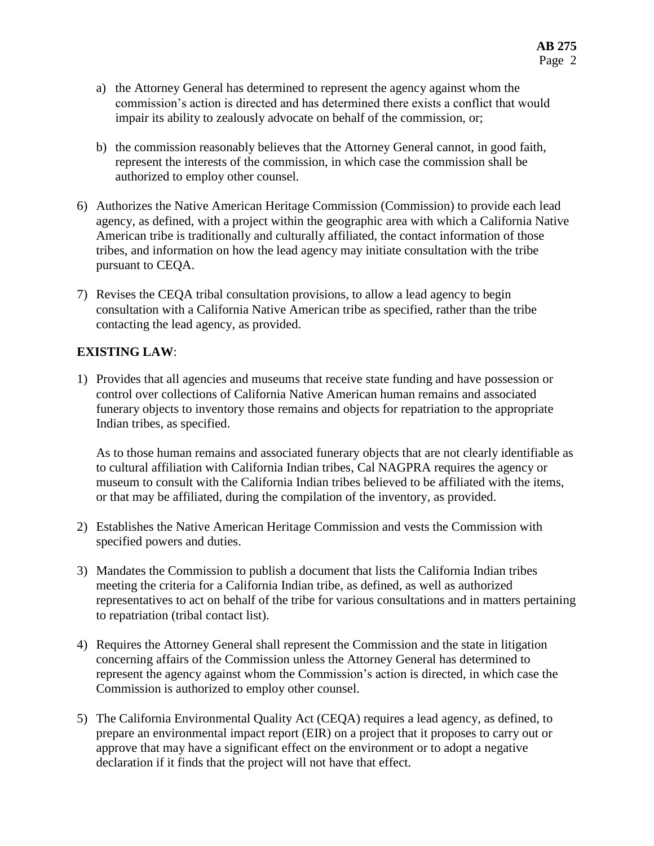- a) the Attorney General has determined to represent the agency against whom the commission's action is directed and has determined there exists a conflict that would impair its ability to zealously advocate on behalf of the commission, or;
- b) the commission reasonably believes that the Attorney General cannot, in good faith, represent the interests of the commission, in which case the commission shall be authorized to employ other counsel.
- 6) Authorizes the Native American Heritage Commission (Commission) to provide each lead agency, as defined, with a project within the geographic area with which a California Native American tribe is traditionally and culturally affiliated, the contact information of those tribes, and information on how the lead agency may initiate consultation with the tribe pursuant to CEQA.
- 7) Revises the CEQA tribal consultation provisions, to allow a lead agency to begin consultation with a California Native American tribe as specified, rather than the tribe contacting the lead agency, as provided.

### **EXISTING LAW**:

1) Provides that all agencies and museums that receive state funding and have possession or control over collections of California Native American human remains and associated funerary objects to inventory those remains and objects for repatriation to the appropriate Indian tribes, as specified.

As to those human remains and associated funerary objects that are not clearly identifiable as to cultural affiliation with California Indian tribes, Cal NAGPRA requires the agency or museum to consult with the California Indian tribes believed to be affiliated with the items, or that may be affiliated, during the compilation of the inventory, as provided.

- 2) Establishes the Native American Heritage Commission and vests the Commission with specified powers and duties.
- 3) Mandates the Commission to publish a document that lists the California Indian tribes meeting the criteria for a California Indian tribe, as defined, as well as authorized representatives to act on behalf of the tribe for various consultations and in matters pertaining to repatriation (tribal contact list).
- 4) Requires the Attorney General shall represent the Commission and the state in litigation concerning affairs of the Commission unless the Attorney General has determined to represent the agency against whom the Commission's action is directed, in which case the Commission is authorized to employ other counsel.
- 5) The California Environmental Quality Act (CEQA) requires a lead agency, as defined, to prepare an environmental impact report (EIR) on a project that it proposes to carry out or approve that may have a significant effect on the environment or to adopt a negative declaration if it finds that the project will not have that effect.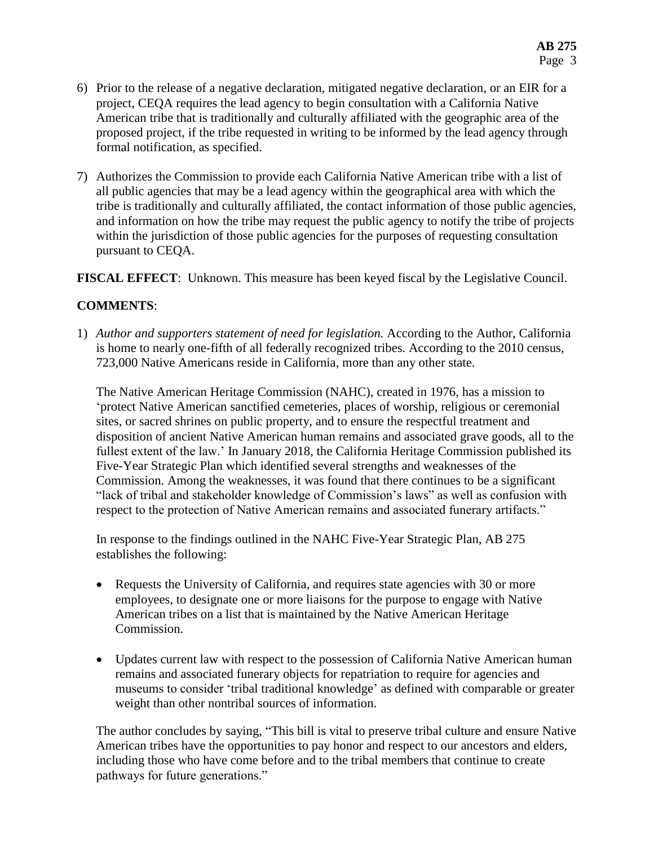- 6) Prior to the release of a negative declaration, mitigated negative declaration, or an EIR for a project, CEQA requires the lead agency to begin consultation with a California Native American tribe that is traditionally and culturally affiliated with the geographic area of the proposed project, if the tribe requested in writing to be informed by the lead agency through formal notification, as specified.
- 7) Authorizes the Commission to provide each California Native American tribe with a list of all public agencies that may be a lead agency within the geographical area with which the tribe is traditionally and culturally affiliated, the contact information of those public agencies, and information on how the tribe may request the public agency to notify the tribe of projects within the jurisdiction of those public agencies for the purposes of requesting consultation pursuant to CEQA.

**FISCAL EFFECT**: Unknown. This measure has been keyed fiscal by the Legislative Council.

# **COMMENTS**:

1) *Author and supporters statement of need for legislation.* According to the Author, California is home to nearly one-fifth of all federally recognized tribes. According to the 2010 census, 723,000 Native Americans reside in California, more than any other state.

The Native American Heritage Commission (NAHC), created in 1976, has a mission to 'protect Native American sanctified cemeteries, places of worship, religious or ceremonial sites, or sacred shrines on public property, and to ensure the respectful treatment and disposition of ancient Native American human remains and associated grave goods, all to the fullest extent of the law.' In January 2018, the California Heritage Commission published its Five-Year Strategic Plan which identified several strengths and weaknesses of the Commission. Among the weaknesses, it was found that there continues to be a significant "lack of tribal and stakeholder knowledge of Commission's laws" as well as confusion with respect to the protection of Native American remains and associated funerary artifacts."

In response to the findings outlined in the NAHC Five-Year Strategic Plan, AB 275 establishes the following:

- Requests the University of California, and requires state agencies with 30 or more employees, to designate one or more liaisons for the purpose to engage with Native American tribes on a list that is maintained by the Native American Heritage Commission.
- Updates current law with respect to the possession of California Native American human remains and associated funerary objects for repatriation to require for agencies and museums to consider 'tribal traditional knowledge' as defined with comparable or greater weight than other nontribal sources of information.

The author concludes by saying, "This bill is vital to preserve tribal culture and ensure Native American tribes have the opportunities to pay honor and respect to our ancestors and elders, including those who have come before and to the tribal members that continue to create pathways for future generations."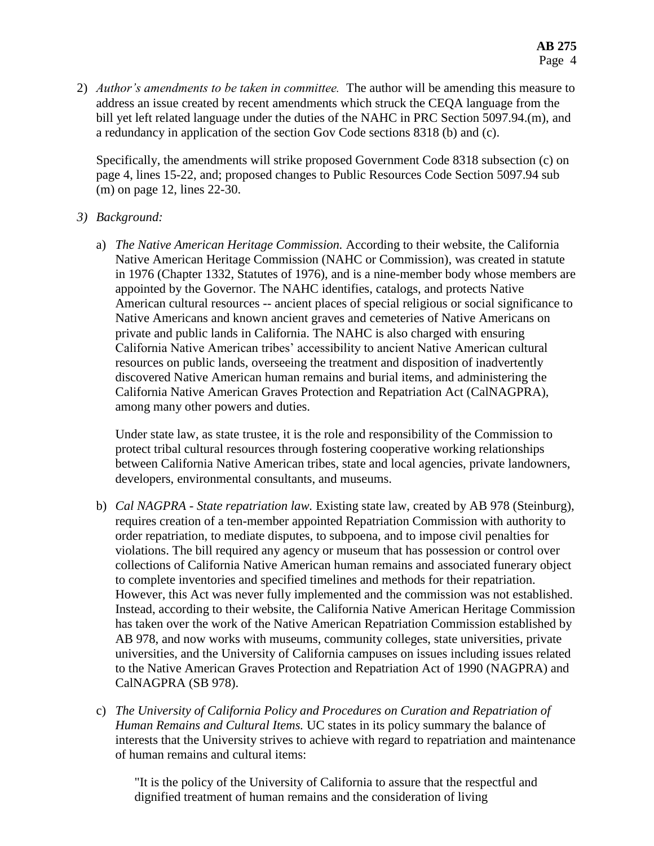2) *Author's amendments to be taken in committee.* The author will be amending this measure to address an issue created by recent amendments which struck the CEQA language from the bill yet left related language under the duties of the NAHC in PRC Section 5097.94.(m), and a redundancy in application of the section Gov Code sections 8318 (b) and (c).

Specifically, the amendments will strike proposed Government Code 8318 subsection (c) on page 4, lines 15-22, and; proposed changes to Public Resources Code Section 5097.94 sub (m) on page 12, lines 22-30.

- *3) Background:*
	- a) *The Native American Heritage Commission.* According to their website, the California Native American Heritage Commission (NAHC or Commission), was created in statute in 1976 (Chapter 1332, Statutes of 1976), and is a nine-member body whose members are appointed by the Governor. The NAHC identifies, catalogs, and protects Native American cultural resources -- ancient places of special religious or social significance to Native Americans and known ancient graves and cemeteries of Native Americans on private and public lands in California. The NAHC is also charged with ensuring California Native American tribes' accessibility to ancient Native American cultural resources on public lands, overseeing the treatment and disposition of inadvertently discovered Native American human remains and burial items, and administering the California Native American Graves Protection and Repatriation Act (CalNAGPRA), among many other powers and duties.

Under state law, as state trustee, it is the role and responsibility of the Commission to protect tribal cultural resources through fostering cooperative working relationships between California Native American tribes, state and local agencies, private landowners, developers, environmental consultants, and museums.

- b) *Cal NAGPRA - State repatriation law.* Existing state law, created by AB 978 (Steinburg), requires creation of a ten-member appointed Repatriation Commission with authority to order repatriation, to mediate disputes, to subpoena, and to impose civil penalties for violations. The bill required any agency or museum that has possession or control over collections of California Native American human remains and associated funerary object to complete inventories and specified timelines and methods for their repatriation. However, this Act was never fully implemented and the commission was not established. Instead, according to their website, the California Native American Heritage Commission has taken over the work of the Native American Repatriation Commission established by AB 978, and now works with museums, community colleges, state universities, private universities, and the University of California campuses on issues including issues related to the Native American Graves Protection and Repatriation Act of 1990 (NAGPRA) and CalNAGPRA (SB 978).
- c) *The University of California Policy and Procedures on Curation and Repatriation of Human Remains and Cultural Items.* UC states in its policy summary the balance of interests that the University strives to achieve with regard to repatriation and maintenance of human remains and cultural items:

"It is the policy of the University of California to assure that the respectful and dignified treatment of human remains and the consideration of living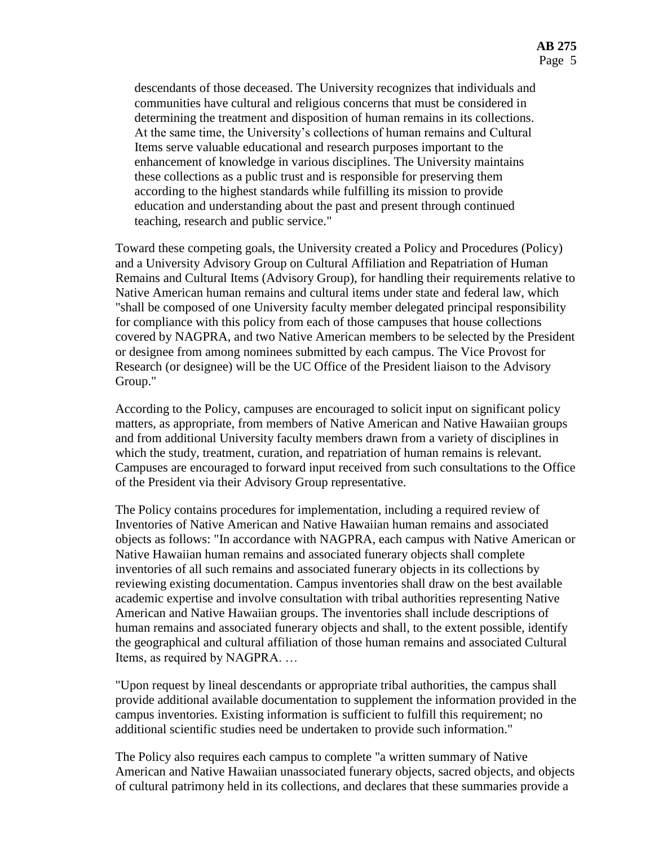descendants of those deceased. The University recognizes that individuals and communities have cultural and religious concerns that must be considered in determining the treatment and disposition of human remains in its collections. At the same time, the University's collections of human remains and Cultural Items serve valuable educational and research purposes important to the enhancement of knowledge in various disciplines. The University maintains these collections as a public trust and is responsible for preserving them according to the highest standards while fulfilling its mission to provide education and understanding about the past and present through continued teaching, research and public service."

Toward these competing goals, the University created a Policy and Procedures (Policy) and a University Advisory Group on Cultural Affiliation and Repatriation of Human Remains and Cultural Items (Advisory Group), for handling their requirements relative to Native American human remains and cultural items under state and federal law, which "shall be composed of one University faculty member delegated principal responsibility for compliance with this policy from each of those campuses that house collections covered by NAGPRA, and two Native American members to be selected by the President or designee from among nominees submitted by each campus. The Vice Provost for Research (or designee) will be the UC Office of the President liaison to the Advisory Group."

According to the Policy, campuses are encouraged to solicit input on significant policy matters, as appropriate, from members of Native American and Native Hawaiian groups and from additional University faculty members drawn from a variety of disciplines in which the study, treatment, curation, and repatriation of human remains is relevant. Campuses are encouraged to forward input received from such consultations to the Office of the President via their Advisory Group representative.

The Policy contains procedures for implementation, including a required review of Inventories of Native American and Native Hawaiian human remains and associated objects as follows: "In accordance with NAGPRA, each campus with Native American or Native Hawaiian human remains and associated funerary objects shall complete inventories of all such remains and associated funerary objects in its collections by reviewing existing documentation. Campus inventories shall draw on the best available academic expertise and involve consultation with tribal authorities representing Native American and Native Hawaiian groups. The inventories shall include descriptions of human remains and associated funerary objects and shall, to the extent possible, identify the geographical and cultural affiliation of those human remains and associated Cultural Items, as required by NAGPRA. …

"Upon request by lineal descendants or appropriate tribal authorities, the campus shall provide additional available documentation to supplement the information provided in the campus inventories. Existing information is sufficient to fulfill this requirement; no additional scientific studies need be undertaken to provide such information."

The Policy also requires each campus to complete "a written summary of Native American and Native Hawaiian unassociated funerary objects, sacred objects, and objects of cultural patrimony held in its collections, and declares that these summaries provide a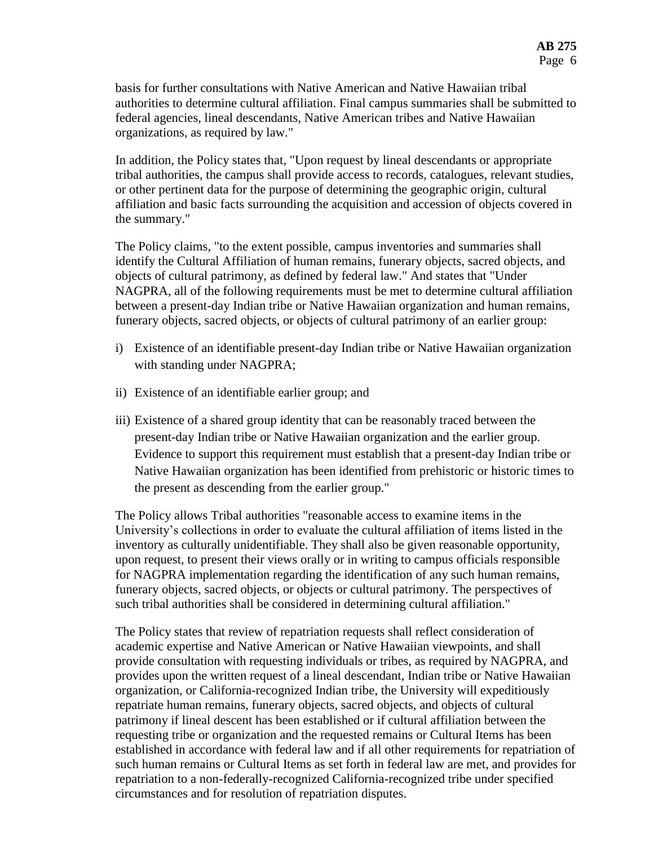basis for further consultations with Native American and Native Hawaiian tribal authorities to determine cultural affiliation. Final campus summaries shall be submitted to federal agencies, lineal descendants, Native American tribes and Native Hawaiian organizations, as required by law."

In addition, the Policy states that, "Upon request by lineal descendants or appropriate tribal authorities, the campus shall provide access to records, catalogues, relevant studies, or other pertinent data for the purpose of determining the geographic origin, cultural affiliation and basic facts surrounding the acquisition and accession of objects covered in the summary."

The Policy claims, "to the extent possible, campus inventories and summaries shall identify the Cultural Affiliation of human remains, funerary objects, sacred objects, and objects of cultural patrimony, as defined by federal law." And states that "Under NAGPRA, all of the following requirements must be met to determine cultural affiliation between a present-day Indian tribe or Native Hawaiian organization and human remains, funerary objects, sacred objects, or objects of cultural patrimony of an earlier group:

- i) Existence of an identifiable present-day Indian tribe or Native Hawaiian organization with standing under NAGPRA;
- ii) Existence of an identifiable earlier group; and
- iii) Existence of a shared group identity that can be reasonably traced between the present-day Indian tribe or Native Hawaiian organization and the earlier group. Evidence to support this requirement must establish that a present-day Indian tribe or Native Hawaiian organization has been identified from prehistoric or historic times to the present as descending from the earlier group."

The Policy allows Tribal authorities "reasonable access to examine items in the University's collections in order to evaluate the cultural affiliation of items listed in the inventory as culturally unidentifiable. They shall also be given reasonable opportunity, upon request, to present their views orally or in writing to campus officials responsible for NAGPRA implementation regarding the identification of any such human remains, funerary objects, sacred objects, or objects or cultural patrimony. The perspectives of such tribal authorities shall be considered in determining cultural affiliation."

The Policy states that review of repatriation requests shall reflect consideration of academic expertise and Native American or Native Hawaiian viewpoints, and shall provide consultation with requesting individuals or tribes, as required by NAGPRA, and provides upon the written request of a lineal descendant, Indian tribe or Native Hawaiian organization, or California-recognized Indian tribe, the University will expeditiously repatriate human remains, funerary objects, sacred objects, and objects of cultural patrimony if lineal descent has been established or if cultural affiliation between the requesting tribe or organization and the requested remains or Cultural Items has been established in accordance with federal law and if all other requirements for repatriation of such human remains or Cultural Items as set forth in federal law are met, and provides for repatriation to a non-federally-recognized California-recognized tribe under specified circumstances and for resolution of repatriation disputes.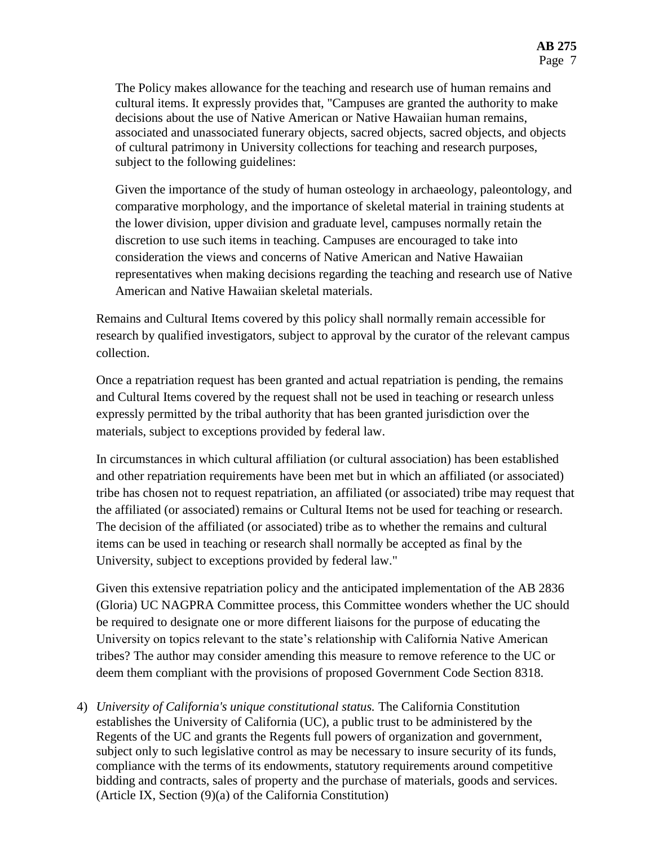The Policy makes allowance for the teaching and research use of human remains and cultural items. It expressly provides that, "Campuses are granted the authority to make decisions about the use of Native American or Native Hawaiian human remains, associated and unassociated funerary objects, sacred objects, sacred objects, and objects of cultural patrimony in University collections for teaching and research purposes, subject to the following guidelines:

Given the importance of the study of human osteology in archaeology, paleontology, and comparative morphology, and the importance of skeletal material in training students at the lower division, upper division and graduate level, campuses normally retain the discretion to use such items in teaching. Campuses are encouraged to take into consideration the views and concerns of Native American and Native Hawaiian representatives when making decisions regarding the teaching and research use of Native American and Native Hawaiian skeletal materials.

Remains and Cultural Items covered by this policy shall normally remain accessible for research by qualified investigators, subject to approval by the curator of the relevant campus collection.

Once a repatriation request has been granted and actual repatriation is pending, the remains and Cultural Items covered by the request shall not be used in teaching or research unless expressly permitted by the tribal authority that has been granted jurisdiction over the materials, subject to exceptions provided by federal law.

In circumstances in which cultural affiliation (or cultural association) has been established and other repatriation requirements have been met but in which an affiliated (or associated) tribe has chosen not to request repatriation, an affiliated (or associated) tribe may request that the affiliated (or associated) remains or Cultural Items not be used for teaching or research. The decision of the affiliated (or associated) tribe as to whether the remains and cultural items can be used in teaching or research shall normally be accepted as final by the University, subject to exceptions provided by federal law."

Given this extensive repatriation policy and the anticipated implementation of the AB 2836 (Gloria) UC NAGPRA Committee process, this Committee wonders whether the UC should be required to designate one or more different liaisons for the purpose of educating the University on topics relevant to the state's relationship with California Native American tribes? The author may consider amending this measure to remove reference to the UC or deem them compliant with the provisions of proposed Government Code Section 8318.

4) *University of California's unique constitutional status.* The California Constitution establishes the University of California (UC), a public trust to be administered by the Regents of the UC and grants the Regents full powers of organization and government, subject only to such legislative control as may be necessary to insure security of its funds, compliance with the terms of its endowments, statutory requirements around competitive bidding and contracts, sales of property and the purchase of materials, goods and services. (Article IX, Section (9)(a) of the California Constitution)